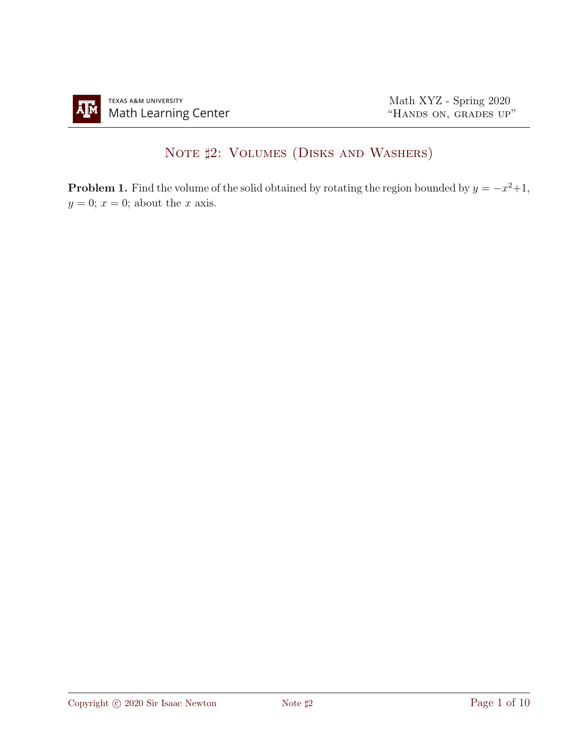## NOTE  $\sharp 2$ : VOLUMES (DISKS AND WASHERS)

**Problem 1.** Find the volume of the solid obtained by rotating the region bounded by  $y = -x^2 + 1$ ,  $y = 0$ ;  $x = 0$ ; about the x axis.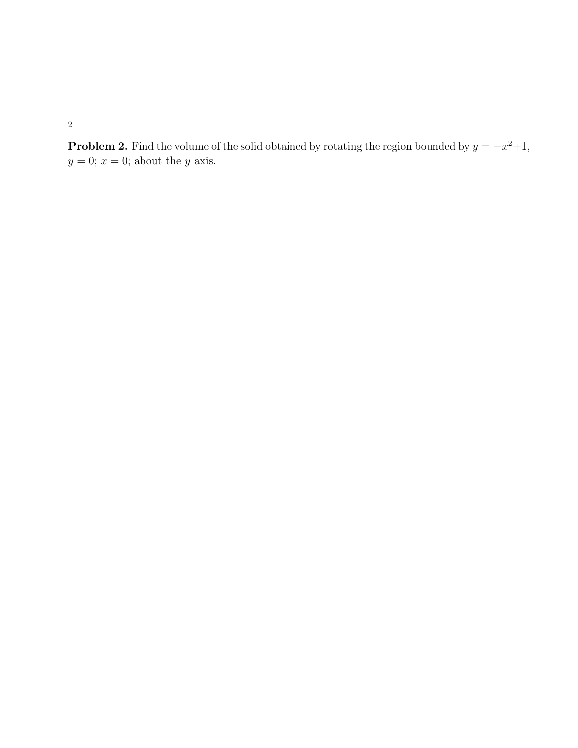**Problem 2.** Find the volume of the solid obtained by rotating the region bounded by  $y = -x^2 + 1$ ,  $y = 0$ ;  $x = 0$ ; about the y axis.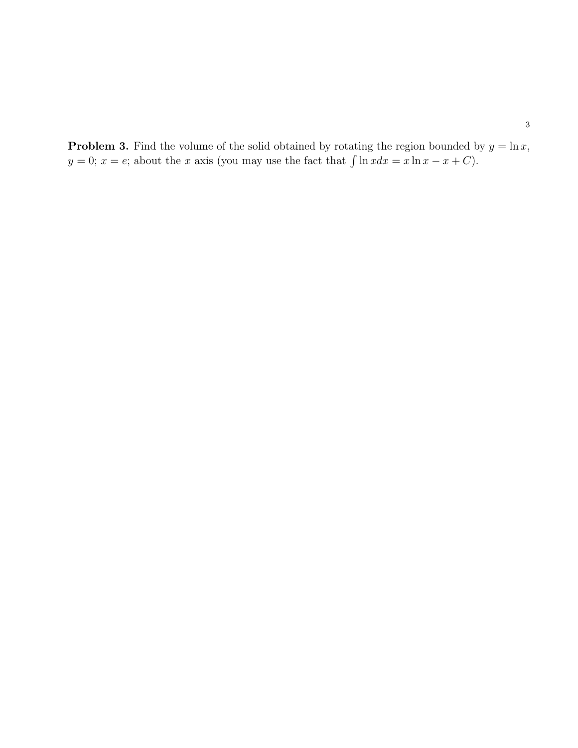**Problem 3.** Find the volume of the solid obtained by rotating the region bounded by  $y = \ln x$ ,  $y = 0$ ;  $x = e$ ; about the x axis (you may use the fact that  $\int \ln x dx = x \ln x - x + C$ ).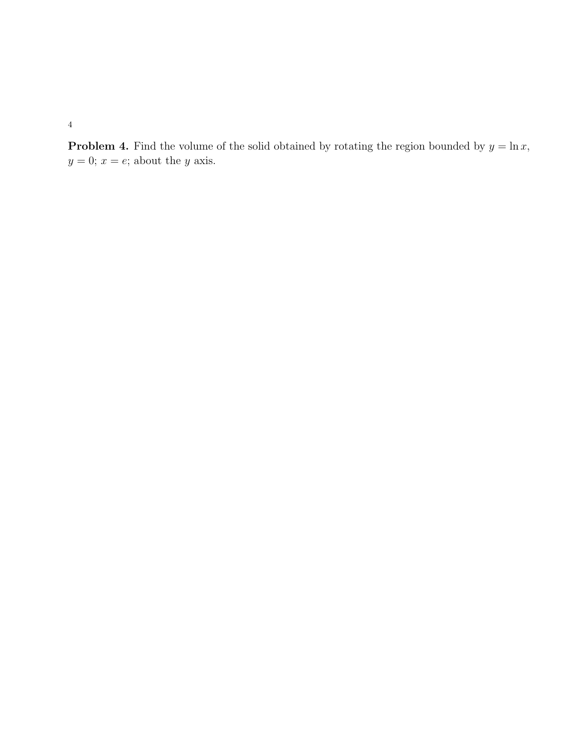**Problem 4.** Find the volume of the solid obtained by rotating the region bounded by  $y = \ln x$ ,  $y = 0; x = e;$  about the y axis.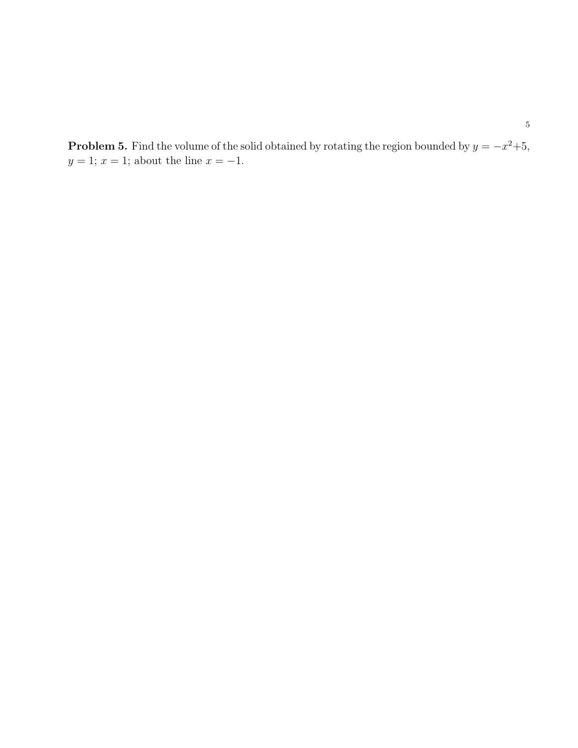**Problem 5.** Find the volume of the solid obtained by rotating the region bounded by  $y = -x^2+5$ ,  $y = 1$ ;  $x = 1$ ; about the line  $x = -1$ .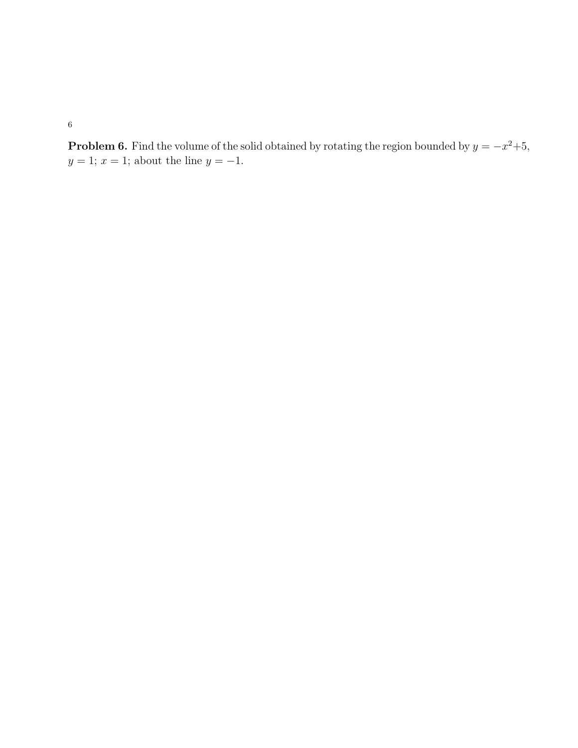**Problem 6.** Find the volume of the solid obtained by rotating the region bounded by  $y = -x^2+5$ ,  $y = 1$ ;  $x = 1$ ; about the line  $y = -1$ .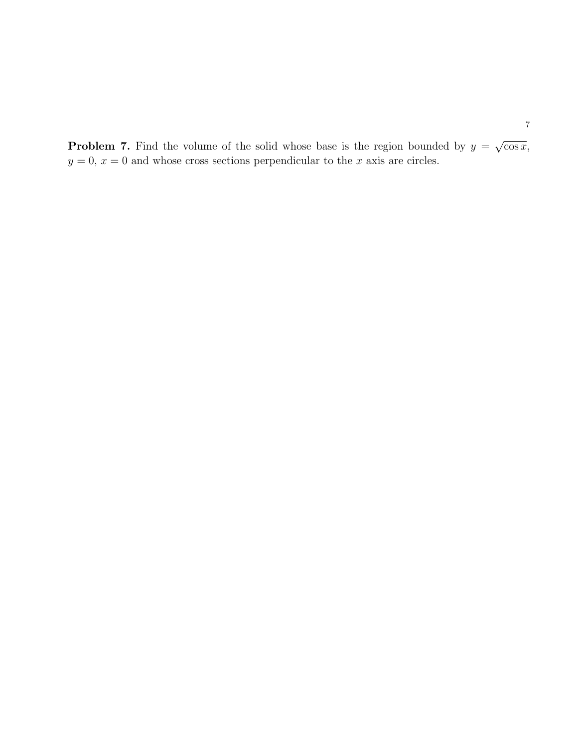**Problem 7.** Find the volume of the solid whose base is the region bounded by  $y =$ √  $\overline{\cos x},$  $y = 0, x = 0$  and whose cross sections perpendicular to the x axis are circles.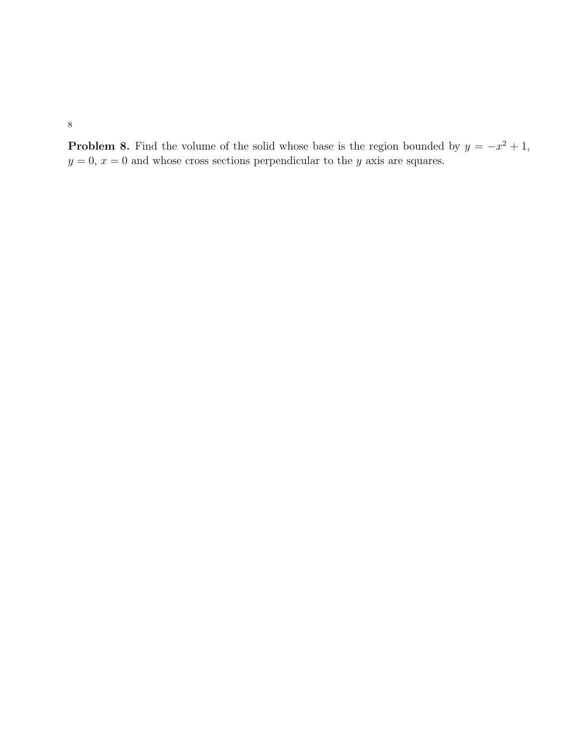**Problem 8.** Find the volume of the solid whose base is the region bounded by  $y = -x^2 + 1$ ,  $y = 0, x = 0$  and whose cross sections perpendicular to the y axis are squares.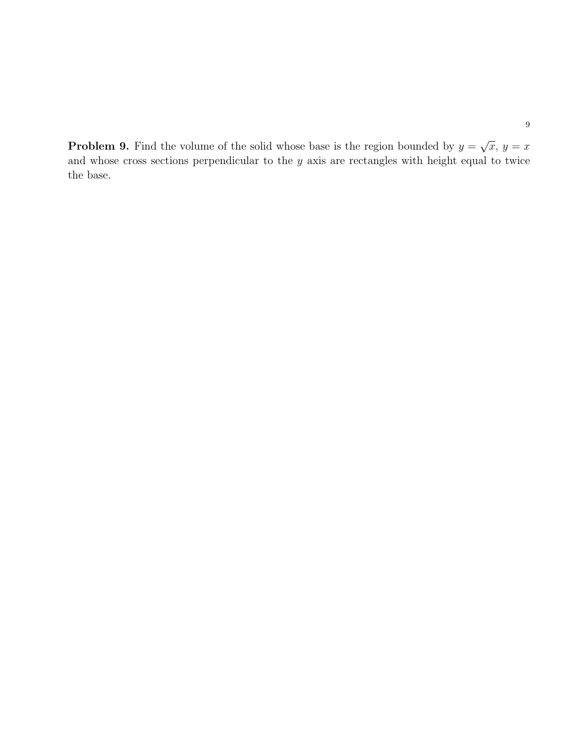**Problem 9.** Find the volume of the solid whose base is the region bounded by  $y =$ √  $\overline{x}, y = x$ and whose cross sections perpendicular to the  $y$  axis are rectangles with height equal to twice the base.